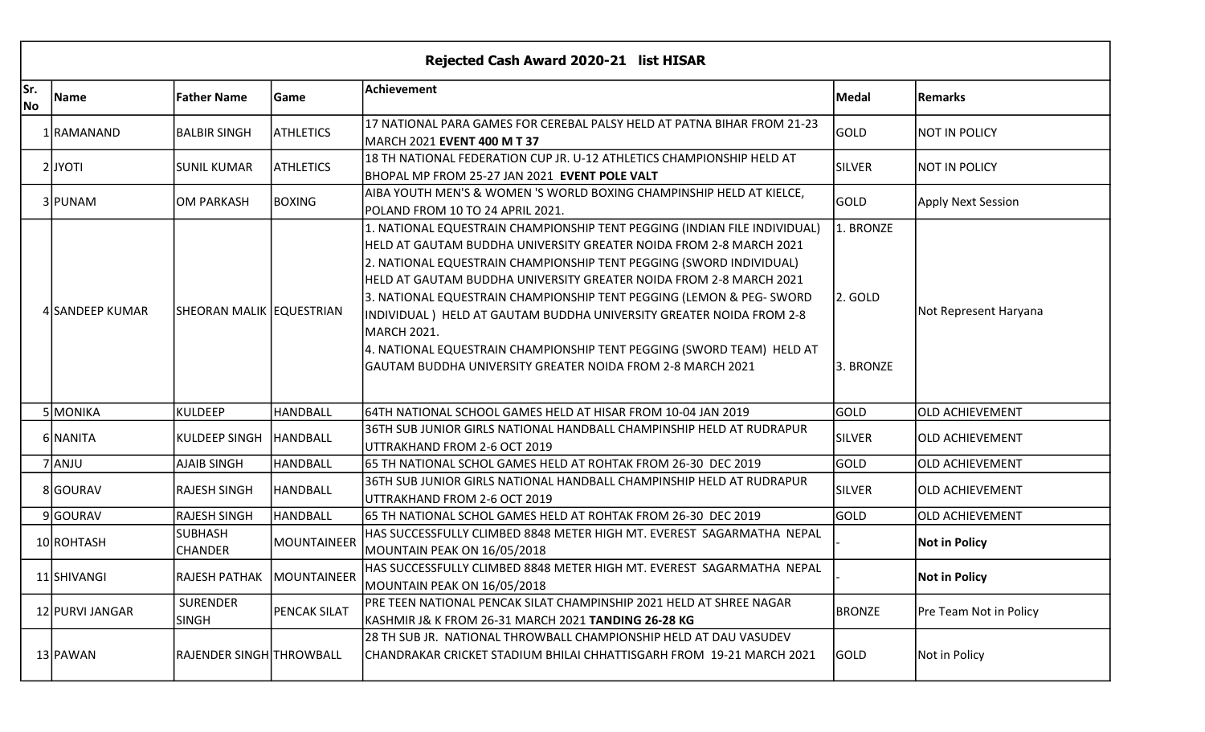| Rejected Cash Award 2020-21 list HISAR |                 |                                  |                     |                                                                                                                                                                                                                                                                                                                                                                                                                                                                                                                                                                                                     |                                   |                               |  |  |  |  |
|----------------------------------------|-----------------|----------------------------------|---------------------|-----------------------------------------------------------------------------------------------------------------------------------------------------------------------------------------------------------------------------------------------------------------------------------------------------------------------------------------------------------------------------------------------------------------------------------------------------------------------------------------------------------------------------------------------------------------------------------------------------|-----------------------------------|-------------------------------|--|--|--|--|
| Sr.<br><b>No</b>                       | Name            | <b>Father Name</b>               | Game                | Achievement                                                                                                                                                                                                                                                                                                                                                                                                                                                                                                                                                                                         | Medal                             | <b>Remarks</b>                |  |  |  |  |
|                                        | 1 RAMANAND      | <b>BALBIR SINGH</b>              | <b>ATHLETICS</b>    | 17 NATIONAL PARA GAMES FOR CEREBAL PALSY HELD AT PATNA BIHAR FROM 21-23<br>MARCH 2021 EVENT 400 M T 37                                                                                                                                                                                                                                                                                                                                                                                                                                                                                              | GOLD                              | NOT IN POLICY                 |  |  |  |  |
|                                        | 2JYOTI          | <b>SUNIL KUMAR</b>               | <b>ATHLETICS</b>    | 18 TH NATIONAL FEDERATION CUP JR. U-12 ATHLETICS CHAMPIONSHIP HELD AT<br>BHOPAL MP FROM 25-27 JAN 2021 EVENT POLE VALT                                                                                                                                                                                                                                                                                                                                                                                                                                                                              | <b>SILVER</b>                     | NOT IN POLICY                 |  |  |  |  |
|                                        | 3 PUNAM         | OM PARKASH                       | <b>BOXING</b>       | AIBA YOUTH MEN'S & WOMEN 'S WORLD BOXING CHAMPINSHIP HELD AT KIELCE,<br>POLAND FROM 10 TO 24 APRIL 2021.                                                                                                                                                                                                                                                                                                                                                                                                                                                                                            | <b>GOLD</b>                       | Apply Next Session            |  |  |  |  |
|                                        | 4 SANDEEP KUMAR | <b>SHEORAN MALIK EQUESTRIAN</b>  |                     | 1. NATIONAL EQUESTRAIN CHAMPIONSHIP TENT PEGGING (INDIAN FILE INDIVIDUAL)<br>HELD AT GAUTAM BUDDHA UNIVERSITY GREATER NOIDA FROM 2-8 MARCH 2021<br>2. NATIONAL EQUESTRAIN CHAMPIONSHIP TENT PEGGING (SWORD INDIVIDUAL)<br> HELD AT GAUTAM BUDDHA UNIVERSITY GREATER NOIDA FROM 2-8 MARCH 2021<br>3. NATIONAL EQUESTRAIN CHAMPIONSHIP TENT PEGGING (LEMON & PEG- SWORD<br>INDIVIDUAL) HELD AT GAUTAM BUDDHA UNIVERSITY GREATER NOIDA FROM 2-8<br>MARCH 2021.<br>4. NATIONAL EQUESTRAIN CHAMPIONSHIP TENT PEGGING (SWORD TEAM) HELD AT<br>IGAUTAM BUDDHA UNIVERSITY GREATER NOIDA FROM 2-8 MARCH 2021 | 1. BRONZE<br>2. GOLD<br>3. BRONZE | Not Represent Haryana         |  |  |  |  |
|                                        | 5 MONIKA        | <b>KULDEEP</b>                   | <b>HANDBALL</b>     | 64TH NATIONAL SCHOOL GAMES HELD AT HISAR FROM 10-04 JAN 2019                                                                                                                                                                                                                                                                                                                                                                                                                                                                                                                                        | <b>GOLD</b>                       | <b>OLD ACHIEVEMENT</b>        |  |  |  |  |
|                                        | 6 NANITA        | <b>KULDEEP SINGH</b>             | HANDBALL            | 36TH SUB JUNIOR GIRLS NATIONAL HANDBALL CHAMPINSHIP HELD AT RUDRAPUR<br>UTTRAKHAND FROM 2-6 OCT 2019                                                                                                                                                                                                                                                                                                                                                                                                                                                                                                | <b>SILVER</b>                     | <b>OLD ACHIEVEMENT</b>        |  |  |  |  |
|                                        | 7 ANJU          | <b>AJAIB SINGH</b>               | HANDBALL            | 65 TH NATIONAL SCHOL GAMES HELD AT ROHTAK FROM 26-30 DEC 2019                                                                                                                                                                                                                                                                                                                                                                                                                                                                                                                                       | <b>GOLD</b>                       | <b>OLD ACHIEVEMENT</b>        |  |  |  |  |
|                                        | 8GOURAV         | <b>RAJESH SINGH</b>              | HANDBALL            | 36TH SUB JUNIOR GIRLS NATIONAL HANDBALL CHAMPINSHIP HELD AT RUDRAPUR<br>UTTRAKHAND FROM 2-6 OCT 2019                                                                                                                                                                                                                                                                                                                                                                                                                                                                                                | <b>SILVER</b>                     | <b>OLD ACHIEVEMENT</b>        |  |  |  |  |
|                                        | 9GOURAV         | <b>RAJESH SINGH</b>              | HANDBALL            | 65 TH NATIONAL SCHOL GAMES HELD AT ROHTAK FROM 26-30 DEC 2019                                                                                                                                                                                                                                                                                                                                                                                                                                                                                                                                       | GOLD                              | <b>OLD ACHIEVEMENT</b>        |  |  |  |  |
|                                        | 10 ROHTASH      | <b>SUBHASH</b><br><b>CHANDER</b> | MOUNTAINEER         | HAS SUCCESSFULLY CLIMBED 8848 METER HIGH MT. EVEREST SAGARMATHA NEPAL<br>MOUNTAIN PEAK ON 16/05/2018                                                                                                                                                                                                                                                                                                                                                                                                                                                                                                |                                   | <b>Not in Policy</b>          |  |  |  |  |
|                                        | 11 SHIVANGI     | RAJESH PATHAK MOUNTAINEER        |                     | HAS SUCCESSFULLY CLIMBED 8848 METER HIGH MT. EVEREST SAGARMATHA NEPAL<br>MOUNTAIN PEAK ON 16/05/2018                                                                                                                                                                                                                                                                                                                                                                                                                                                                                                |                                   | <b>Not in Policy</b>          |  |  |  |  |
|                                        | 12 PURVI JANGAR | <b>SURENDER</b><br><b>SINGH</b>  | <b>PENCAK SILAT</b> | PRE TEEN NATIONAL PENCAK SILAT CHAMPINSHIP 2021 HELD AT SHREE NAGAR<br>KASHMIR J& K FROM 26-31 MARCH 2021 TANDING 26-28 KG                                                                                                                                                                                                                                                                                                                                                                                                                                                                          | <b>BRONZE</b>                     | <b>Pre Team Not in Policy</b> |  |  |  |  |
|                                        | 13 PAWAN        | <b>RAJENDER SINGH THROWBALL</b>  |                     | 28 TH SUB JR.  NATIONAL THROWBALL CHAMPIONSHIP HELD AT DAU VASUDEV<br>CHANDRAKAR CRICKET STADIUM BHILAI CHHATTISGARH FROM 19-21 MARCH 2021                                                                                                                                                                                                                                                                                                                                                                                                                                                          | GOLD                              | Not in Policy                 |  |  |  |  |